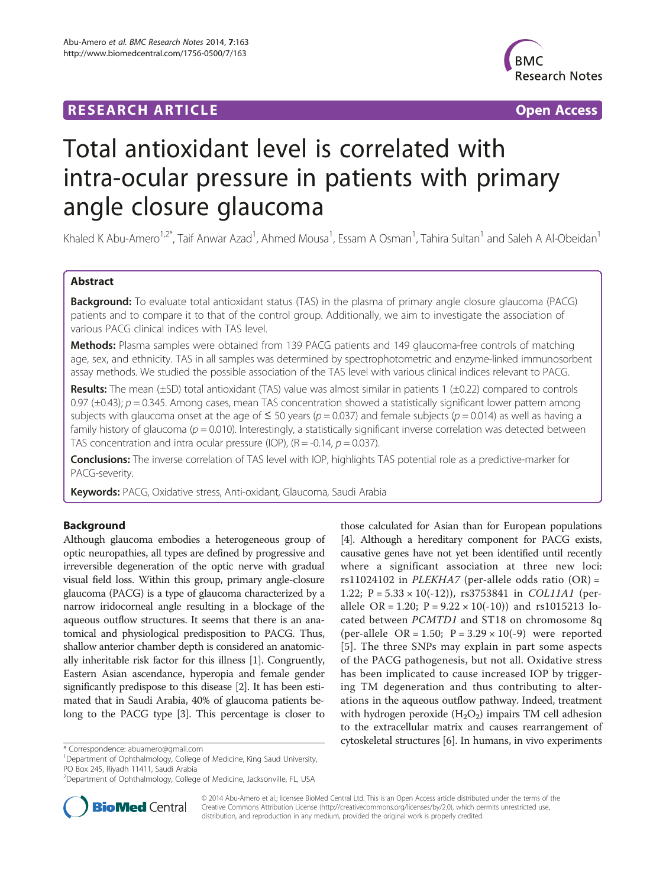## **RESEARCH ARTICLE Example 2014 CONSIDERING A RESEARCH ARTICLE**



# Total antioxidant level is correlated with intra-ocular pressure in patients with primary angle closure glaucoma

Khaled K Abu-Amero<sup>1,2\*</sup>, Taif Anwar Azad<sup>1</sup>, Ahmed Mousa<sup>1</sup>, Essam A Osman<sup>1</sup>, Tahira Sultan<sup>1</sup> and Saleh A Al-Obeidan<sup>1</sup>

## Abstract

Background: To evaluate total antioxidant status (TAS) in the plasma of primary angle closure glaucoma (PACG) patients and to compare it to that of the control group. Additionally, we aim to investigate the association of various PACG clinical indices with TAS level.

**Methods:** Plasma samples were obtained from 139 PACG patients and 149 glaucoma-free controls of matching age, sex, and ethnicity. TAS in all samples was determined by spectrophotometric and enzyme-linked immunosorbent assay methods. We studied the possible association of the TAS level with various clinical indices relevant to PACG.

Results: The mean (±SD) total antioxidant (TAS) value was almost similar in patients 1 (±0.22) compared to controls 0.97 ( $\pm$ 0.43); p = 0.345. Among cases, mean TAS concentration showed a statistically significant lower pattern among subjects with glaucoma onset at the age of  $\leq 50$  years ( $p = 0.037$ ) and female subjects ( $p = 0.014$ ) as well as having a family history of glaucoma ( $p = 0.010$ ). Interestingly, a statistically significant inverse correlation was detected between TAS concentration and intra ocular pressure (IOP),  $(R = -0.14, p = 0.037)$ .

Conclusions: The inverse correlation of TAS level with IOP, highlights TAS potential role as a predictive-marker for PACG-severity.

Keywords: PACG, Oxidative stress, Anti-oxidant, Glaucoma, Saudi Arabia

## Background

Although glaucoma embodies a heterogeneous group of optic neuropathies, all types are defined by progressive and irreversible degeneration of the optic nerve with gradual visual field loss. Within this group, primary angle-closure glaucoma (PACG) is a type of glaucoma characterized by a narrow iridocorneal angle resulting in a blockage of the aqueous outflow structures. It seems that there is an anatomical and physiological predisposition to PACG. Thus, shallow anterior chamber depth is considered an anatomically inheritable risk factor for this illness [\[1\]](#page-4-0). Congruently, Eastern Asian ascendance, hyperopia and female gender significantly predispose to this disease [[2](#page-4-0)]. It has been estimated that in Saudi Arabia, 40% of glaucoma patients belong to the PACG type [\[3\]](#page-4-0). This percentage is closer to

<sup>&</sup>lt;sup>2</sup>Department of Ophthalmology, College of Medicine, Jacksonville, FL, USA





© 2014 Abu-Amero et al.; licensee BioMed Central Ltd. This is an Open Access article distributed under the terms of the Creative Commons Attribution License (<http://creativecommons.org/licenses/by/2.0>), which permits unrestricted use, distribution, and reproduction in any medium, provided the original work is properly credited.

<sup>&</sup>lt;sup>1</sup>Department of Ophthalmology, College of Medicine, King Saud University, PO Box 245, Riyadh 11411, Saudi Arabia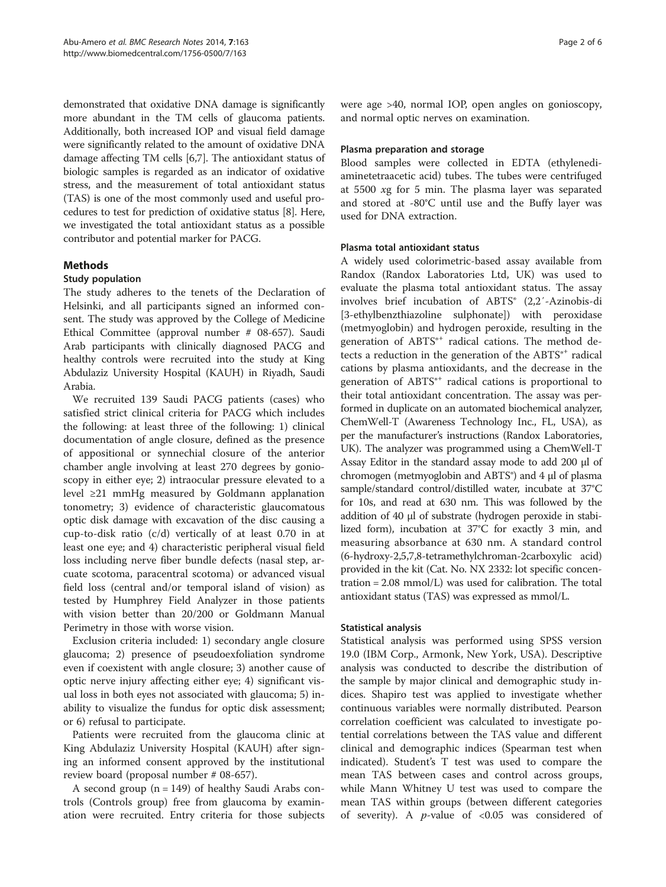demonstrated that oxidative DNA damage is significantly more abundant in the TM cells of glaucoma patients. Additionally, both increased IOP and visual field damage were significantly related to the amount of oxidative DNA damage affecting TM cells [\[6,7](#page-4-0)]. The antioxidant status of biologic samples is regarded as an indicator of oxidative stress, and the measurement of total antioxidant status (TAS) is one of the most commonly used and useful procedures to test for prediction of oxidative status [[8\]](#page-5-0). Here, we investigated the total antioxidant status as a possible contributor and potential marker for PACG.

## Methods

## Study population

The study adheres to the tenets of the Declaration of Helsinki, and all participants signed an informed consent. The study was approved by the College of Medicine Ethical Committee (approval number # 08-657). Saudi Arab participants with clinically diagnosed PACG and healthy controls were recruited into the study at King Abdulaziz University Hospital (KAUH) in Riyadh, Saudi Arabia.

We recruited 139 Saudi PACG patients (cases) who satisfied strict clinical criteria for PACG which includes the following: at least three of the following: 1) clinical documentation of angle closure, defined as the presence of appositional or synnechial closure of the anterior chamber angle involving at least 270 degrees by gonioscopy in either eye; 2) intraocular pressure elevated to a level ≥21 mmHg measured by Goldmann applanation tonometry; 3) evidence of characteristic glaucomatous optic disk damage with excavation of the disc causing a cup-to-disk ratio (c/d) vertically of at least 0.70 in at least one eye; and 4) characteristic peripheral visual field loss including nerve fiber bundle defects (nasal step, arcuate scotoma, paracentral scotoma) or advanced visual field loss (central and/or temporal island of vision) as tested by Humphrey Field Analyzer in those patients with vision better than 20/200 or Goldmann Manual Perimetry in those with worse vision.

Exclusion criteria included: 1) secondary angle closure glaucoma; 2) presence of pseudoexfoliation syndrome even if coexistent with angle closure; 3) another cause of optic nerve injury affecting either eye; 4) significant visual loss in both eyes not associated with glaucoma; 5) inability to visualize the fundus for optic disk assessment; or 6) refusal to participate.

Patients were recruited from the glaucoma clinic at King Abdulaziz University Hospital (KAUH) after signing an informed consent approved by the institutional review board (proposal number # 08-657).

A second group  $(n = 149)$  of healthy Saudi Arabs controls (Controls group) free from glaucoma by examination were recruited. Entry criteria for those subjects were age >40, normal IOP, open angles on gonioscopy, and normal optic nerves on examination.

### Plasma preparation and storage

Blood samples were collected in EDTA (ethylenediaminetetraacetic acid) tubes. The tubes were centrifuged at 5500 xg for 5 min. The plasma layer was separated and stored at -80°C until use and the Buffy layer was used for DNA extraction.

#### Plasma total antioxidant status

A widely used colorimetric-based assay available from Randox (Randox Laboratories Ltd, UK) was used to evaluate the plasma total antioxidant status. The assay involves brief incubation of ABTS® (2,2′-Azinobis-di [3-ethylbenzthiazoline sulphonate]) with peroxidase (metmyoglobin) and hydrogen peroxide, resulting in the generation of ABTS<sup>®+</sup> radical cations. The method detects a reduction in the generation of the  $ABTS^{*+}$  radical cations by plasma antioxidants, and the decrease in the generation of ABTS<sup>®+</sup> radical cations is proportional to their total antioxidant concentration. The assay was performed in duplicate on an automated biochemical analyzer, ChemWell-T (Awareness Technology Inc., FL, USA), as per the manufacturer's instructions (Randox Laboratories, UK). The analyzer was programmed using a ChemWell-T Assay Editor in the standard assay mode to add 200 μl of chromogen (metmyoglobin and ABTS®) and 4 μl of plasma sample/standard control/distilled water, incubate at 37°C for 10s, and read at 630 nm. This was followed by the addition of 40 μl of substrate (hydrogen peroxide in stabilized form), incubation at 37°C for exactly 3 min, and measuring absorbance at 630 nm. A standard control (6-hydroxy-2,5,7,8-tetramethylchroman-2carboxylic acid) provided in the kit (Cat. No. NX 2332: lot specific concentration = 2.08 mmol/L) was used for calibration. The total antioxidant status (TAS) was expressed as mmol/L.

## Statistical analysis

Statistical analysis was performed using SPSS version 19.0 (IBM Corp., Armonk, New York, USA). Descriptive analysis was conducted to describe the distribution of the sample by major clinical and demographic study indices. Shapiro test was applied to investigate whether continuous variables were normally distributed. Pearson correlation coefficient was calculated to investigate potential correlations between the TAS value and different clinical and demographic indices (Spearman test when indicated). Student's T test was used to compare the mean TAS between cases and control across groups, while Mann Whitney U test was used to compare the mean TAS within groups (between different categories of severity). A  $p$ -value of <0.05 was considered of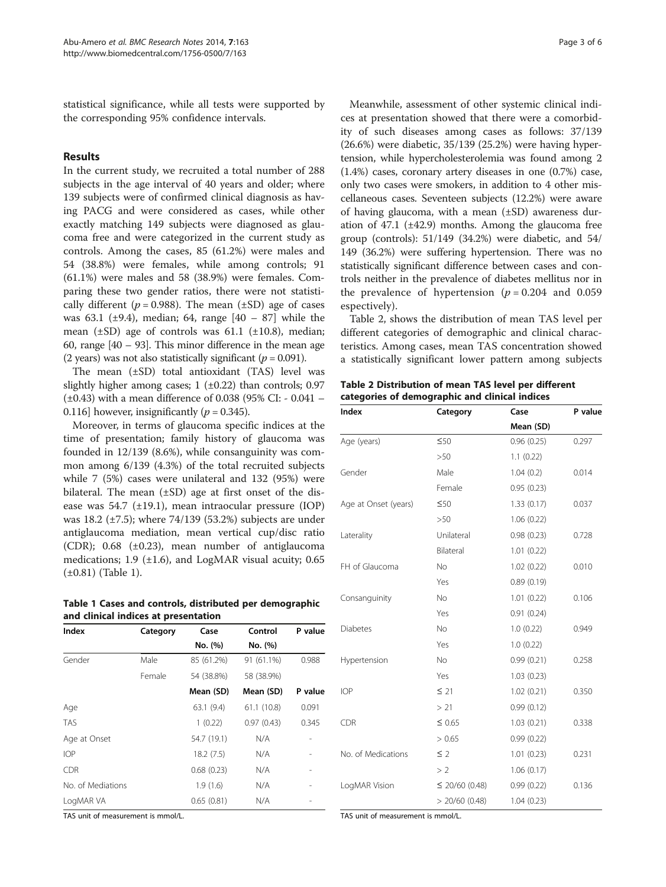<span id="page-2-0"></span>statistical significance, while all tests were supported by the corresponding 95% confidence intervals.

## Results

In the current study, we recruited a total number of 288 subjects in the age interval of 40 years and older; where 139 subjects were of confirmed clinical diagnosis as having PACG and were considered as cases, while other exactly matching 149 subjects were diagnosed as glaucoma free and were categorized in the current study as controls. Among the cases, 85 (61.2%) were males and 54 (38.8%) were females, while among controls; 91 (61.1%) were males and 58 (38.9%) were females. Comparing these two gender ratios, there were not statistically different ( $p = 0.988$ ). The mean ( $\pm SD$ ) age of cases was 63.1 ( $\pm$ 9.4), median; 64, range [40 – 87] while the mean  $(\pm SD)$  age of controls was 61.1  $(\pm 10.8)$ , median; 60, range [40 – 93]. This minor difference in the mean age (2 years) was not also statistically significant ( $p = 0.091$ ).

The mean (±SD) total antioxidant (TAS) level was slightly higher among cases;  $1$  ( $\pm$ 0.22) than controls; 0.97 (±0.43) with a mean difference of 0.038 (95% CI: - 0.041 – 0.116] however, insignificantly ( $p = 0.345$ ).

Moreover, in terms of glaucoma specific indices at the time of presentation; family history of glaucoma was founded in 12/139 (8.6%), while consanguinity was common among 6/139 (4.3%) of the total recruited subjects while 7 (5%) cases were unilateral and 132 (95%) were bilateral. The mean  $(\pm SD)$  age at first onset of the disease was 54.7 (±19.1), mean intraocular pressure (IOP) was 18.2 (±7.5); where 74/139 (53.2%) subjects are under antiglaucoma mediation, mean vertical cup/disc ratio (CDR); 0.68 (±0.23), mean number of antiglaucoma medications; 1.9 (±1.6), and LogMAR visual acuity; 0.65 (±0.81) (Table 1).

Table 1 Cases and controls, distributed per demographic and clinical indices at presentation

| Index             | Category | Case        | Control    | P value |
|-------------------|----------|-------------|------------|---------|
|                   |          | No. (%)     | No. (%)    |         |
| Gender            | Male     | 85 (61.2%)  | 91 (61.1%) | 0.988   |
|                   | Female   | 54 (38.8%)  | 58 (38.9%) |         |
|                   |          | Mean (SD)   | Mean (SD)  | P value |
| Age               |          | 63.1(9.4)   | 61.1(10.8) | 0.091   |
| <b>TAS</b>        |          | 1(0.22)     | 0.97(0.43) | 0.345   |
| Age at Onset      |          | 54.7 (19.1) | N/A        |         |
| <b>IOP</b>        |          | 18.2(7.5)   | N/A        |         |
| <b>CDR</b>        |          | 0.68(0.23)  | N/A        |         |
| No. of Mediations |          | 1.9(1.6)    | N/A        |         |
| LogMAR VA         |          | 0.65(0.81)  | N/A        |         |

TAS unit of measurement is mmol/L.

Meanwhile, assessment of other systemic clinical indices at presentation showed that there were a comorbidity of such diseases among cases as follows: 37/139 (26.6%) were diabetic, 35/139 (25.2%) were having hypertension, while hypercholesterolemia was found among 2 (1.4%) cases, coronary artery diseases in one (0.7%) case, only two cases were smokers, in addition to 4 other miscellaneous cases. Seventeen subjects (12.2%) were aware of having glaucoma, with a mean  $(\pm SD)$  awareness duration of 47.1 (±42.9) months. Among the glaucoma free group (controls): 51/149 (34.2%) were diabetic, and 54/ 149 (36.2%) were suffering hypertension. There was no statistically significant difference between cases and controls neither in the prevalence of diabetes mellitus nor in the prevalence of hypertension ( $p = 0.204$  and 0.059 espectively).

Table 2, shows the distribution of mean TAS level per different categories of demographic and clinical characteristics. Among cases, mean TAS concentration showed a statistically significant lower pattern among subjects

| Table 2 Distribution of mean TAS level per different |  |
|------------------------------------------------------|--|
| categories of demographic and clinical indices       |  |

| Index                | Category            | Case       | P value |  |
|----------------------|---------------------|------------|---------|--|
|                      |                     | Mean (SD)  |         |  |
| Age (years)          | $\leq 50$           | 0.96(0.25) | 0.297   |  |
|                      | >50                 | 1.1(0.22)  |         |  |
| Gender               | Male                | 1.04(0.2)  | 0.014   |  |
|                      | Female              | 0.95(0.23) |         |  |
| Age at Onset (years) | $\leq 50$           | 1.33(0.17) | 0.037   |  |
|                      | >50                 | 1.06(0.22) |         |  |
| Laterality           | Unilateral          | 0.98(0.23) | 0.728   |  |
|                      | Bilateral           | 1.01(0.22) |         |  |
| FH of Glaucoma       | <b>No</b>           | 1.02(0.22) | 0.010   |  |
|                      | Yes                 | 0.89(0.19) |         |  |
| Consanguinity        | <b>No</b>           | 1.01(0.22) | 0.106   |  |
|                      | Yes                 | 0.91(0.24) |         |  |
| <b>Diabetes</b>      | <b>No</b>           | 1.0(0.22)  | 0.949   |  |
|                      | Yes                 | 1.0(0.22)  |         |  |
| Hypertension         | <b>No</b>           | 0.99(0.21) | 0.258   |  |
|                      | Yes                 | 1.03(0.23) |         |  |
| <b>IOP</b>           | $\leq$ 21           | 1.02(0.21) | 0.350   |  |
|                      | >21                 | 0.99(0.12) |         |  |
| <b>CDR</b>           | $\leq 0.65$         | 1.03(0.21) | 0.338   |  |
|                      | > 0.65              | 0.99(0.22) |         |  |
| No. of Medications   | $\leq$ 2            | 1.01(0.23) | 0.231   |  |
|                      | > 2                 | 1.06(0.17) |         |  |
| LogMAR Vision        | $\leq$ 20/60 (0.48) | 0.99(0.22) | 0.136   |  |
|                      | $> 20/60$ (0.48)    | 1.04(0.23) |         |  |

TAS unit of measurement is mmol/L.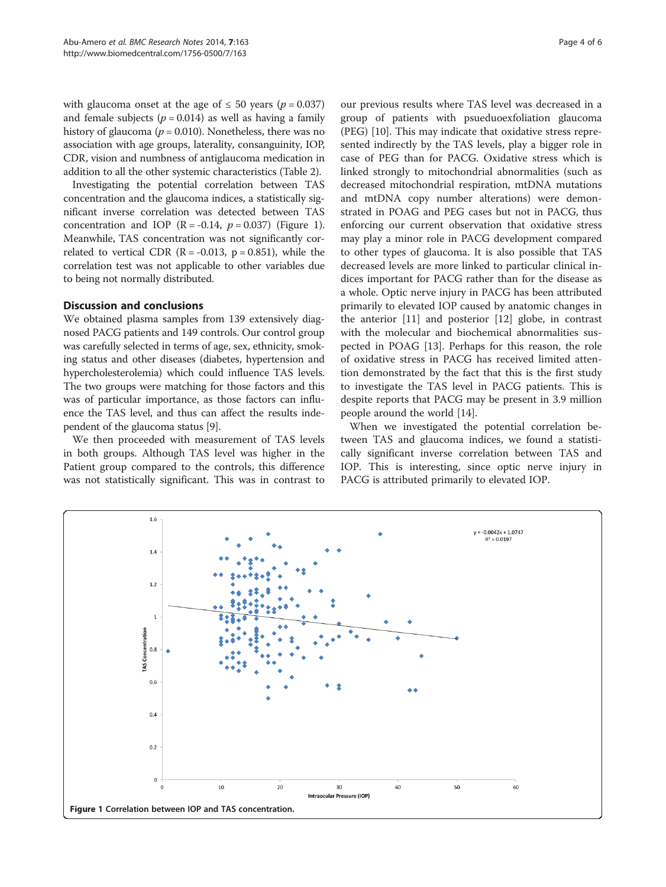with glaucoma onset at the age of  $\leq 50$  years ( $p = 0.037$ ) and female subjects ( $p = 0.014$ ) as well as having a family history of glaucoma ( $p = 0.010$ ). Nonetheless, there was no association with age groups, laterality, consanguinity, IOP, CDR, vision and numbness of antiglaucoma medication in addition to all the other systemic characteristics (Table [2](#page-2-0)).

Investigating the potential correlation between TAS concentration and the glaucoma indices, a statistically significant inverse correlation was detected between TAS concentration and IOP  $(R = -0.14, p = 0.037)$  (Figure 1). Meanwhile, TAS concentration was not significantly correlated to vertical CDR ( $R = -0.013$ ,  $p = 0.851$ ), while the correlation test was not applicable to other variables due to being not normally distributed.

#### Discussion and conclusions

We obtained plasma samples from 139 extensively diagnosed PACG patients and 149 controls. Our control group was carefully selected in terms of age, sex, ethnicity, smoking status and other diseases (diabetes, hypertension and hypercholesterolemia) which could influence TAS levels. The two groups were matching for those factors and this was of particular importance, as those factors can influence the TAS level, and thus can affect the results independent of the glaucoma status [[9](#page-5-0)].

We then proceeded with measurement of TAS levels in both groups. Although TAS level was higher in the Patient group compared to the controls, this difference was not statistically significant. This was in contrast to

our previous results where TAS level was decreased in a group of patients with psueduoexfoliation glaucoma (PEG) [\[10](#page-5-0)]. This may indicate that oxidative stress represented indirectly by the TAS levels, play a bigger role in case of PEG than for PACG. Oxidative stress which is linked strongly to mitochondrial abnormalities (such as decreased mitochondrial respiration, mtDNA mutations and mtDNA copy number alterations) were demonstrated in POAG and PEG cases but not in PACG, thus enforcing our current observation that oxidative stress may play a minor role in PACG development compared to other types of glaucoma. It is also possible that TAS decreased levels are more linked to particular clinical indices important for PACG rather than for the disease as a whole. Optic nerve injury in PACG has been attributed primarily to elevated IOP caused by anatomic changes in the anterior [[11\]](#page-5-0) and posterior [[12](#page-5-0)] globe, in contrast with the molecular and biochemical abnormalities suspected in POAG [\[13](#page-5-0)]. Perhaps for this reason, the role of oxidative stress in PACG has received limited attention demonstrated by the fact that this is the first study to investigate the TAS level in PACG patients. This is despite reports that PACG may be present in 3.9 million people around the world [[14\]](#page-5-0).

When we investigated the potential correlation between TAS and glaucoma indices, we found a statistically significant inverse correlation between TAS and IOP. This is interesting, since optic nerve injury in PACG is attributed primarily to elevated IOP.

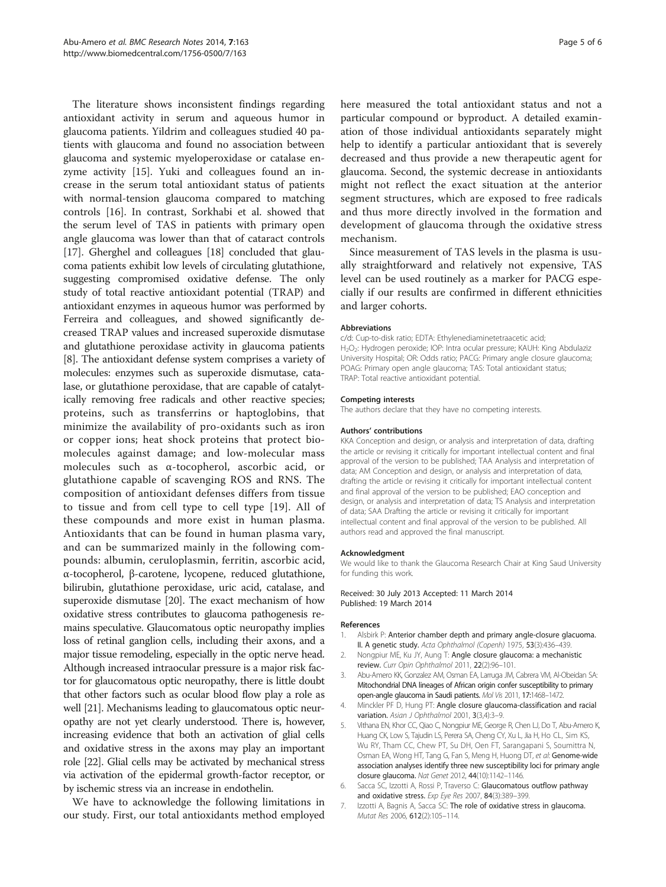<span id="page-4-0"></span>The literature shows inconsistent findings regarding antioxidant activity in serum and aqueous humor in glaucoma patients. Yildrim and colleagues studied 40 patients with glaucoma and found no association between glaucoma and systemic myeloperoxidase or catalase enzyme activity [\[15](#page-5-0)]. Yuki and colleagues found an increase in the serum total antioxidant status of patients with normal-tension glaucoma compared to matching controls [[16\]](#page-5-0). In contrast, Sorkhabi et al. showed that the serum level of TAS in patients with primary open angle glaucoma was lower than that of cataract controls [[17\]](#page-5-0). Gherghel and colleagues [[18\]](#page-5-0) concluded that glaucoma patients exhibit low levels of circulating glutathione, suggesting compromised oxidative defense. The only study of total reactive antioxidant potential (TRAP) and antioxidant enzymes in aqueous humor was performed by Ferreira and colleagues, and showed significantly decreased TRAP values and increased superoxide dismutase and glutathione peroxidase activity in glaucoma patients [[8\]](#page-5-0). The antioxidant defense system comprises a variety of molecules: enzymes such as superoxide dismutase, catalase, or glutathione peroxidase, that are capable of catalytically removing free radicals and other reactive species; proteins, such as transferrins or haptoglobins, that minimize the availability of pro-oxidants such as iron or copper ions; heat shock proteins that protect biomolecules against damage; and low-molecular mass molecules such as α-tocopherol, ascorbic acid, or glutathione capable of scavenging ROS and RNS. The composition of antioxidant defenses differs from tissue to tissue and from cell type to cell type [[19\]](#page-5-0). All of these compounds and more exist in human plasma. Antioxidants that can be found in human plasma vary, and can be summarized mainly in the following compounds: albumin, ceruloplasmin, ferritin, ascorbic acid, α-tocopherol, β-carotene, lycopene, reduced glutathione, bilirubin, glutathione peroxidase, uric acid, catalase, and superoxide dismutase [[20](#page-5-0)]. The exact mechanism of how oxidative stress contributes to glaucoma pathogenesis remains speculative. Glaucomatous optic neuropathy implies loss of retinal ganglion cells, including their axons, and a major tissue remodeling, especially in the optic nerve head. Although increased intraocular pressure is a major risk factor for glaucomatous optic neuropathy, there is little doubt that other factors such as ocular blood flow play a role as well [\[21\]](#page-5-0). Mechanisms leading to glaucomatous optic neuropathy are not yet clearly understood. There is, however, increasing evidence that both an activation of glial cells and oxidative stress in the axons may play an important role [\[22\]](#page-5-0). Glial cells may be activated by mechanical stress via activation of the epidermal growth-factor receptor, or by ischemic stress via an increase in endothelin.

We have to acknowledge the following limitations in our study. First, our total antioxidants method employed here measured the total antioxidant status and not a particular compound or byproduct. A detailed examination of those individual antioxidants separately might help to identify a particular antioxidant that is severely decreased and thus provide a new therapeutic agent for glaucoma. Second, the systemic decrease in antioxidants might not reflect the exact situation at the anterior segment structures, which are exposed to free radicals and thus more directly involved in the formation and development of glaucoma through the oxidative stress mechanism.

Since measurement of TAS levels in the plasma is usually straightforward and relatively not expensive, TAS level can be used routinely as a marker for PACG especially if our results are confirmed in different ethnicities and larger cohorts.

#### Abbreviations

c/d: Cup-to-disk ratio; EDTA: Ethylenediaminetetraacetic acid; H<sub>2</sub>O<sub>2</sub>: Hydrogen peroxide; IOP: Intra ocular pressure; KAUH: King Abdulaziz University Hospital; OR: Odds ratio; PACG: Primary angle closure glaucoma; POAG: Primary open angle glaucoma; TAS: Total antioxidant status; TRAP: Total reactive antioxidant potential.

#### Competing interests

The authors declare that they have no competing interests.

#### Authors' contributions

KKA Conception and design, or analysis and interpretation of data, drafting the article or revising it critically for important intellectual content and final approval of the version to be published; TAA Analysis and interpretation of data; AM Conception and design, or analysis and interpretation of data, drafting the article or revising it critically for important intellectual content and final approval of the version to be published; EAO conception and design, or analysis and interpretation of data; TS Analysis and interpretation of data; SAA Drafting the article or revising it critically for important intellectual content and final approval of the version to be published. All authors read and approved the final manuscript.

#### Acknowledgment

We would like to thank the Glaucoma Research Chair at King Saud University for funding this work.

#### Received: 30 July 2013 Accepted: 11 March 2014 Published: 19 March 2014

#### References

- Alsbirk P: Anterior chamber depth and primary angle-closure glacuoma. II. A genetic study. Acta Ophthalmol (Copenh) 1975, 53(3):436–439.
- 2. Nongpiur ME, Ku JY, Aung T: Angle closure glaucoma: a mechanistic review. Curr Opin Ophthalmol 2011, 22(2):96–101.
- 3. Abu-Amero KK, Gonzalez AM, Osman EA, Larruga JM, Cabrera VM, Al-Obeidan SA: Mitochondrial DNA lineages of African origin confer susceptibility to primary open-angle glaucoma in Saudi patients. Mol Vis 2011, 17:1468–1472.
- 4. Minckler PF D, Hung PT: Angle closure glaucoma-classification and racial variation. Asian J Ophthalmol 2001, 3(3,4):3-9.
- 5. Vithana EN, Khor CC, Qiao C, Nongpiur ME, George R, Chen LJ, Do T, Abu-Amero K, Huang CK, Low S, Tajudin LS, Perera SA, Cheng CY, Xu L, Jia H, Ho CL, Sim KS, Wu RY, Tham CC, Chew PT, Su DH, Oen FT, Sarangapani S, Soumittra N, Osman EA, Wong HT, Tang G, Fan S, Meng H, Huong DT, et al: Genome-wide association analyses identify three new susceptibility loci for primary angle closure glaucoma. Nat Genet 2012, 44(10):1142–1146.
- 6. Sacca SC, Izzotti A, Rossi P, Traverso C: Glaucomatous outflow pathway and oxidative stress. Exp Eye Res 2007, 84(3):389-399.
- 7. Izzotti A, Bagnis A, Sacca SC: The role of oxidative stress in glaucoma. Mutat Res 2006, 612(2):105–114.